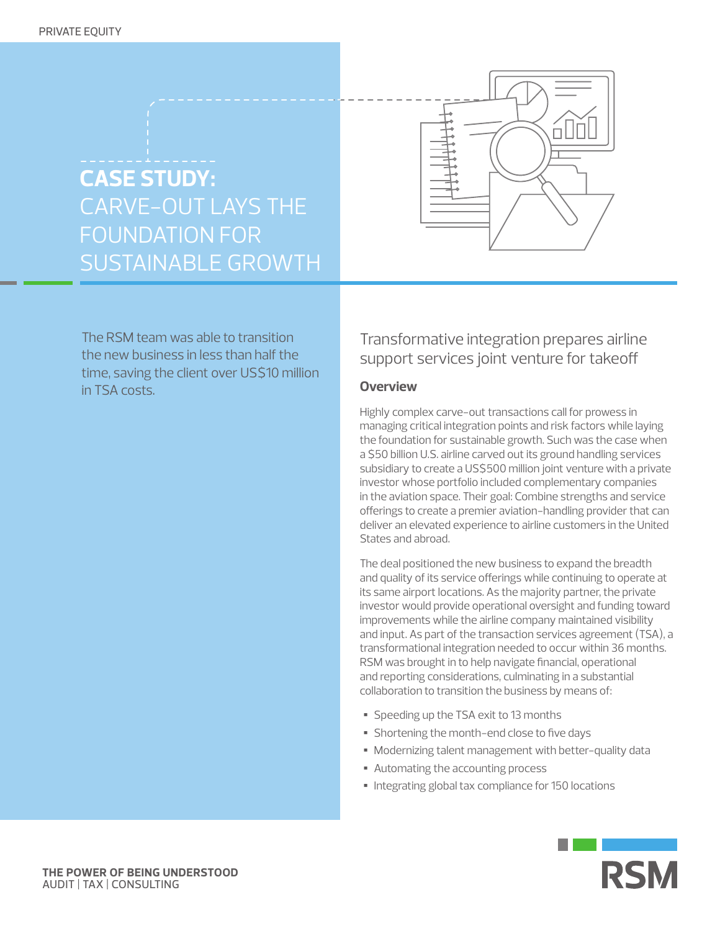

The RSM team was able to transition the new business in less than half the time, saving the client over US\$10 million in TSA costs.



# Transformative integration prepares airline support services joint venture for takeoff

# **Overview**

Highly complex carve-out transactions call for prowess in managing critical integration points and risk factors while laying the foundation for sustainable growth. Such was the case when a \$50 billion U.S. airline carved out its ground handling services subsidiary to create a US\$500 million joint venture with a private investor whose portfolio included complementary companies in the aviation space. Their goal: Combine strengths and service offerings to create a premier aviation-handling provider that can deliver an elevated experience to airline customers in the United States and abroad.

The deal positioned the new business to expand the breadth and quality of its service offerings while continuing to operate at its same airport locations. As the majority partner, the private investor would provide operational oversight and funding toward improvements while the airline company maintained visibility and input. As part of the transaction services agreement (TSA), a transformational integration needed to occur within 36 months. RSM was brought in to help navigate financial, operational and reporting considerations, culminating in a substantial collaboration to transition the business by means of:

- Speeding up the TSA exit to 13 months
- Shortening the month-end close to five days
- Modernizing talent management with better-quality data
- Automating the accounting process
- Integrating global tax compliance for 150 locations

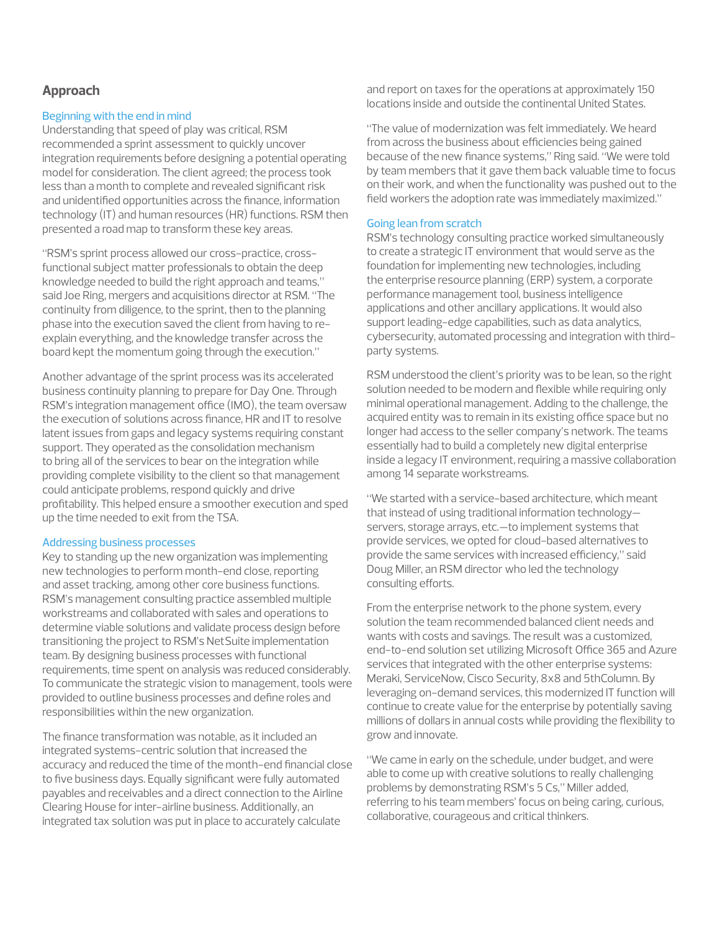## **Approach**

## Beginning with the end in mind

Understanding that speed of play was critical, RSM recommended a sprint assessment to quickly uncover integration requirements before designing a potential operating model for consideration. The client agreed; the process took less than a month to complete and revealed significant risk and unidentified opportunities across the finance, information technology (IT) and human resources (HR) functions. RSM then presented a road map to transform these key areas.

"RSM's sprint process allowed our cross-practice, crossfunctional subject matter professionals to obtain the deep knowledge needed to build the right approach and teams," said Joe Ring, mergers and acquisitions director at RSM. "The continuity from diligence, to the sprint, then to the planning phase into the execution saved the client from having to reexplain everything, and the knowledge transfer across the board kept the momentum going through the execution."

Another advantage of the sprint process was its accelerated business continuity planning to prepare for Day One. Through RSM's integration management office (IMO), the team oversaw the execution of solutions across finance, HR and IT to resolve latent issues from gaps and legacy systems requiring constant support. They operated as the consolidation mechanism to bring all of the services to bear on the integration while providing complete visibility to the client so that management could anticipate problems, respond quickly and drive profitability. This helped ensure a smoother execution and sped up the time needed to exit from the TSA.

### Addressing business processes

Key to standing up the new organization was implementing new technologies to perform month-end close, reporting and asset tracking, among other core business functions. RSM's management consulting practice assembled multiple workstreams and collaborated with sales and operations to determine viable solutions and validate process design before transitioning the project to RSM's NetSuite implementation team. By designing business processes with functional requirements, time spent on analysis was reduced considerably. To communicate the strategic vision to management, tools were provided to outline business processes and define roles and responsibilities within the new organization.

The finance transformation was notable, as it included an integrated systems-centric solution that increased the accuracy and reduced the time of the month-end financial close to five business days. Equally significant were fully automated payables and receivables and a direct connection to the Airline Clearing House for inter-airline business. Additionally, an integrated tax solution was put in place to accurately calculate

and report on taxes for the operations at approximately 150 locations inside and outside the continental United States.

"The value of modernization was felt immediately. We heard from across the business about efficiencies being gained because of the new finance systems," Ring said. "We were told by team members that it gave them back valuable time to focus on their work, and when the functionality was pushed out to the field workers the adoption rate was immediately maximized."

#### Going lean from scratch

RSM's technology consulting practice worked simultaneously to create a strategic IT environment that would serve as the foundation for implementing new technologies, including the enterprise resource planning (ERP) system, a corporate performance management tool, business intelligence applications and other ancillary applications. It would also support leading-edge capabilities, such as data analytics, cybersecurity, automated processing and integration with thirdparty systems.

RSM understood the client's priority was to be lean, so the right solution needed to be modern and flexible while requiring only minimal operational management. Adding to the challenge, the acquired entity was to remain in its existing office space but no longer had access to the seller company's network. The teams essentially had to build a completely new digital enterprise inside a legacy IT environment, requiring a massive collaboration among 14 separate workstreams.

"We started with a service-based architecture, which meant that instead of using traditional information technology servers, storage arrays, etc.—to implement systems that provide services, we opted for cloud-based alternatives to provide the same services with increased efficiency," said Doug Miller, an RSM director who led the technology consulting efforts.

From the enterprise network to the phone system, every solution the team recommended balanced client needs and wants with costs and savings. The result was a customized, end-to-end solution set utilizing Microsoft Office 365 and Azure services that integrated with the other enterprise systems: Meraki, ServiceNow, Cisco Security, 8x8 and 5thColumn. By leveraging on-demand services, this modernized IT function will continue to create value for the enterprise by potentially saving millions of dollars in annual costs while providing the flexibility to grow and innovate.

"We came in early on the schedule, under budget, and were able to come up with creative solutions to really challenging problems by demonstrating RSM's 5 Cs," Miller added, referring to his team members' focus on being caring, curious, collaborative, courageous and critical thinkers.